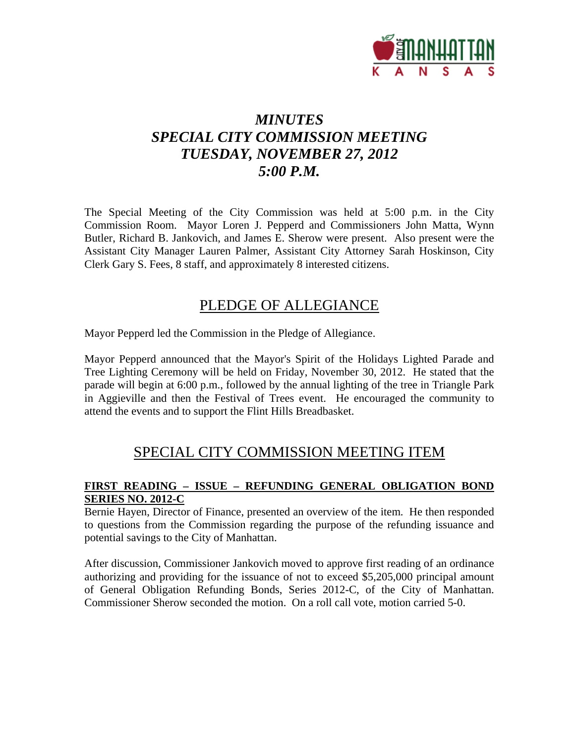

# *MINUTES SPECIAL CITY COMMISSION MEETING TUESDAY, NOVEMBER 27, 2012 5:00 P.M.*

The Special Meeting of the City Commission was held at 5:00 p.m. in the City Commission Room. Mayor Loren J. Pepperd and Commissioners John Matta, Wynn Butler, Richard B. Jankovich, and James E. Sherow were present. Also present were the Assistant City Manager Lauren Palmer, Assistant City Attorney Sarah Hoskinson, City Clerk Gary S. Fees, 8 staff, and approximately 8 interested citizens.

## PLEDGE OF ALLEGIANCE

Mayor Pepperd led the Commission in the Pledge of Allegiance.

Mayor Pepperd announced that the Mayor's Spirit of the Holidays Lighted Parade and Tree Lighting Ceremony will be held on Friday, November 30, 2012. He stated that the parade will begin at 6:00 p.m., followed by the annual lighting of the tree in Triangle Park in Aggieville and then the Festival of Trees event. He encouraged the community to attend the events and to support the Flint Hills Breadbasket.

## SPECIAL CITY COMMISSION MEETING ITEM

### **FIRST READING – ISSUE – REFUNDING GENERAL OBLIGATION BOND SERIES NO. 2012-C**

Bernie Hayen, Director of Finance, presented an overview of the item. He then responded to questions from the Commission regarding the purpose of the refunding issuance and potential savings to the City of Manhattan.

After discussion, Commissioner Jankovich moved to approve first reading of an ordinance authorizing and providing for the issuance of not to exceed \$5,205,000 principal amount of General Obligation Refunding Bonds, Series 2012-C, of the City of Manhattan. Commissioner Sherow seconded the motion. On a roll call vote, motion carried 5-0.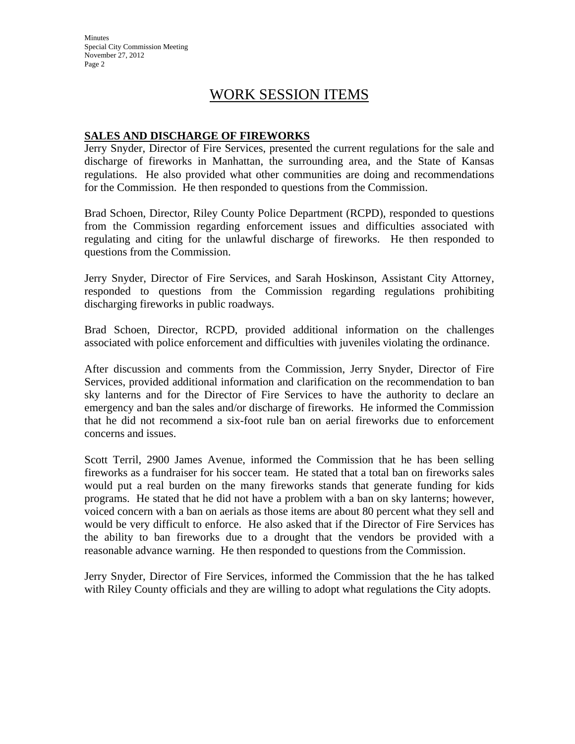**Minutes** Special City Commission Meeting November 27, 2012 Page 2

### WORK SESSION ITEMS

#### **SALES AND DISCHARGE OF FIREWORKS**

Jerry Snyder, Director of Fire Services, presented the current regulations for the sale and discharge of fireworks in Manhattan, the surrounding area, and the State of Kansas regulations. He also provided what other communities are doing and recommendations for the Commission. He then responded to questions from the Commission.

Brad Schoen, Director, Riley County Police Department (RCPD), responded to questions from the Commission regarding enforcement issues and difficulties associated with regulating and citing for the unlawful discharge of fireworks. He then responded to questions from the Commission.

Jerry Snyder, Director of Fire Services, and Sarah Hoskinson, Assistant City Attorney, responded to questions from the Commission regarding regulations prohibiting discharging fireworks in public roadways.

Brad Schoen, Director, RCPD, provided additional information on the challenges associated with police enforcement and difficulties with juveniles violating the ordinance.

After discussion and comments from the Commission, Jerry Snyder, Director of Fire Services, provided additional information and clarification on the recommendation to ban sky lanterns and for the Director of Fire Services to have the authority to declare an emergency and ban the sales and/or discharge of fireworks. He informed the Commission that he did not recommend a six-foot rule ban on aerial fireworks due to enforcement concerns and issues.

Scott Terril, 2900 James Avenue, informed the Commission that he has been selling fireworks as a fundraiser for his soccer team. He stated that a total ban on fireworks sales would put a real burden on the many fireworks stands that generate funding for kids programs. He stated that he did not have a problem with a ban on sky lanterns; however, voiced concern with a ban on aerials as those items are about 80 percent what they sell and would be very difficult to enforce. He also asked that if the Director of Fire Services has the ability to ban fireworks due to a drought that the vendors be provided with a reasonable advance warning. He then responded to questions from the Commission.

Jerry Snyder, Director of Fire Services, informed the Commission that the he has talked with Riley County officials and they are willing to adopt what regulations the City adopts.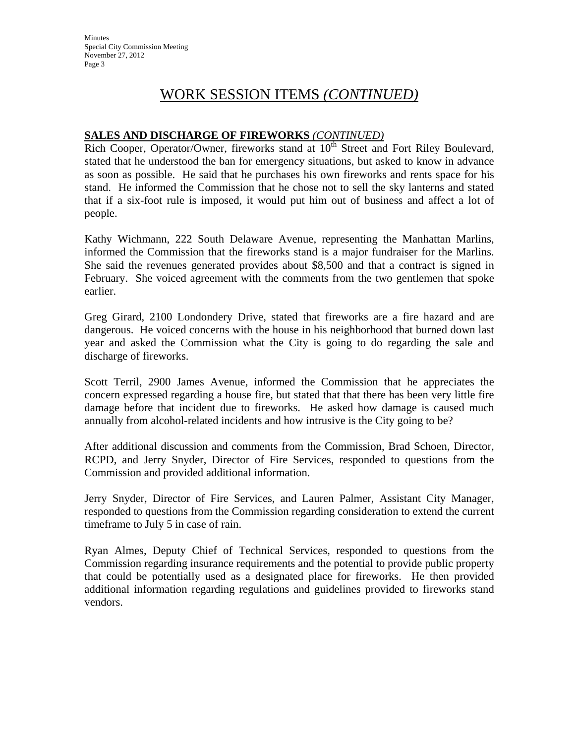## WORK SESSION ITEMS *(CONTINUED)*

### **SALES AND DISCHARGE OF FIREWORKS** *(CONTINUED)*

Rich Cooper, Operator/Owner, fireworks stand at  $10<sup>th</sup>$  Street and Fort Riley Boulevard, stated that he understood the ban for emergency situations, but asked to know in advance as soon as possible. He said that he purchases his own fireworks and rents space for his stand. He informed the Commission that he chose not to sell the sky lanterns and stated that if a six-foot rule is imposed, it would put him out of business and affect a lot of people.

Kathy Wichmann, 222 South Delaware Avenue, representing the Manhattan Marlins, informed the Commission that the fireworks stand is a major fundraiser for the Marlins. She said the revenues generated provides about \$8,500 and that a contract is signed in February. She voiced agreement with the comments from the two gentlemen that spoke earlier.

Greg Girard, 2100 Londondery Drive, stated that fireworks are a fire hazard and are dangerous. He voiced concerns with the house in his neighborhood that burned down last year and asked the Commission what the City is going to do regarding the sale and discharge of fireworks.

Scott Terril, 2900 James Avenue, informed the Commission that he appreciates the concern expressed regarding a house fire, but stated that that there has been very little fire damage before that incident due to fireworks. He asked how damage is caused much annually from alcohol-related incidents and how intrusive is the City going to be?

After additional discussion and comments from the Commission, Brad Schoen, Director, RCPD, and Jerry Snyder, Director of Fire Services, responded to questions from the Commission and provided additional information.

Jerry Snyder, Director of Fire Services, and Lauren Palmer, Assistant City Manager, responded to questions from the Commission regarding consideration to extend the current timeframe to July 5 in case of rain.

Ryan Almes, Deputy Chief of Technical Services, responded to questions from the Commission regarding insurance requirements and the potential to provide public property that could be potentially used as a designated place for fireworks. He then provided additional information regarding regulations and guidelines provided to fireworks stand vendors.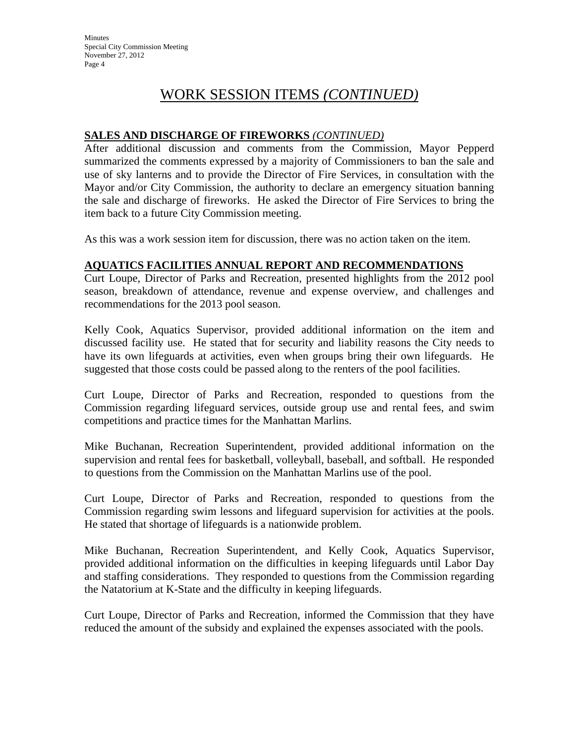# WORK SESSION ITEMS *(CONTINUED)*

### **SALES AND DISCHARGE OF FIREWORKS** *(CONTINUED)*

After additional discussion and comments from the Commission, Mayor Pepperd summarized the comments expressed by a majority of Commissioners to ban the sale and use of sky lanterns and to provide the Director of Fire Services, in consultation with the Mayor and/or City Commission, the authority to declare an emergency situation banning the sale and discharge of fireworks. He asked the Director of Fire Services to bring the item back to a future City Commission meeting.

As this was a work session item for discussion, there was no action taken on the item.

#### **AQUATICS FACILITIES ANNUAL REPORT AND RECOMMENDATIONS**

Curt Loupe, Director of Parks and Recreation, presented highlights from the 2012 pool season, breakdown of attendance, revenue and expense overview, and challenges and recommendations for the 2013 pool season.

Kelly Cook, Aquatics Supervisor, provided additional information on the item and discussed facility use. He stated that for security and liability reasons the City needs to have its own lifeguards at activities, even when groups bring their own lifeguards. He suggested that those costs could be passed along to the renters of the pool facilities.

Curt Loupe, Director of Parks and Recreation, responded to questions from the Commission regarding lifeguard services, outside group use and rental fees, and swim competitions and practice times for the Manhattan Marlins.

Mike Buchanan, Recreation Superintendent, provided additional information on the supervision and rental fees for basketball, volleyball, baseball, and softball. He responded to questions from the Commission on the Manhattan Marlins use of the pool.

Curt Loupe, Director of Parks and Recreation, responded to questions from the Commission regarding swim lessons and lifeguard supervision for activities at the pools. He stated that shortage of lifeguards is a nationwide problem.

Mike Buchanan, Recreation Superintendent, and Kelly Cook, Aquatics Supervisor, provided additional information on the difficulties in keeping lifeguards until Labor Day and staffing considerations. They responded to questions from the Commission regarding the Natatorium at K-State and the difficulty in keeping lifeguards.

Curt Loupe, Director of Parks and Recreation, informed the Commission that they have reduced the amount of the subsidy and explained the expenses associated with the pools.